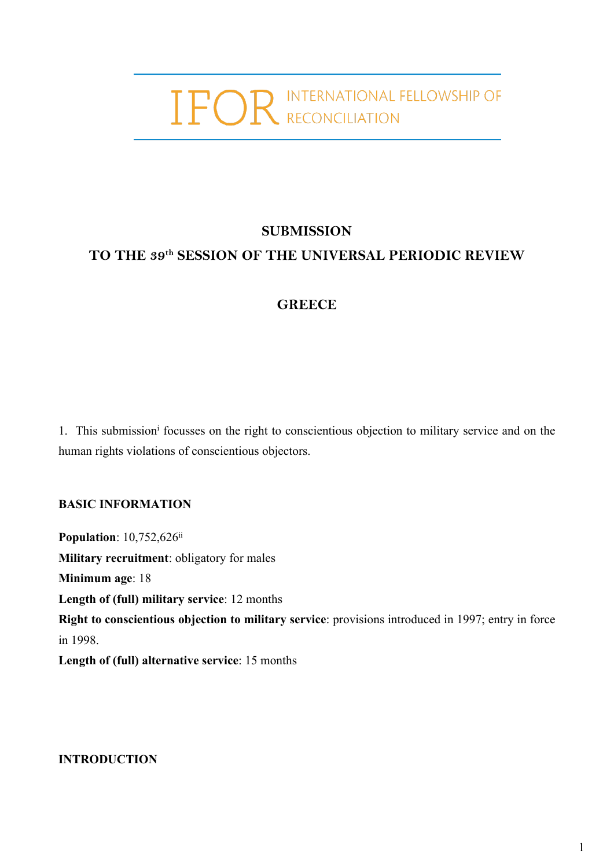# IFOR INTERNATIONAL FELLOWSHIP OF

# **SUBMISSION TO THE 39th SESSION OF THE UNIVERSAL PERIODIC REVIEW**

# **GREECE**

1. This submission<sup>i</sup> focusses on the right to conscientious objection to military service and on the human rights violations of conscientious objectors.

## **BASIC INFORMATION**

**Population**: 10,752,626<sup>ii</sup> **Military recruitment**: obligatory for males **Minimum age**: 18 **Length of (full) military service**: 12 months **Right to conscientious objection to military service**: provisions introduced in 1997; entry in force in 1998. **Length of (full) alternative service**: 15 months

**INTRODUCTION**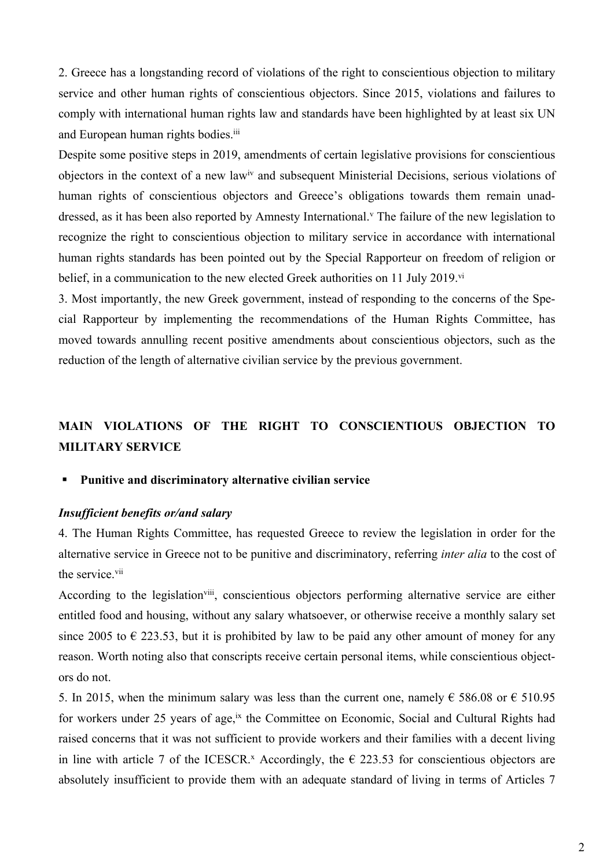2. Greece has <sup>a</sup> longstanding record of violations of the right to conscientious objection to military service and other human rights of conscientious objectors. Since 2015, violations and failures to comply with international human rights law and standards have been highlighted by at least six UN and European human rights bodies.<sup>iii</sup>

Despite some positive steps in 2019, amendments of certain legislative provisions for conscientious objectors in the context of a new law<sup>iv</sup> and subsequent Ministerial Decisions, serious violations of human rights of conscientious objectors and Greece'<sup>s</sup> obligations towards them remain unaddressed, as it has been also reported by Amnesty International. v The failure of the new legislation to recognize the right to conscientious objection to military service in accordance with international human rights standards has been pointed out by the Special Rapporteur on freedom of religion or belief, in a communication to the new elected Greek authorities on 11 July 2019.<sup>vi</sup>

3. Most importantly, the new Greek government, instead of responding to the concerns of the Special Rapporteur by implementing the recommendations of the Human Rights Committee, has moved towards annulling recent positive amendments about conscientious objectors, such as the reduction of the length of alternative civilian service by the previous government.

# **MAIN VIOLATIONS OF THE RIGHT TO CONSCIENTIOUS OBJECTION TO MILITARY SERVICE**

#### Г **Punitive and discriminatory alternative civilian service**

## *Insufficient benefits or/and salary*

4. The Human Rights Committee, has requested Greece to review the legislation in order for the alternative service in Greece not to be punitive and discriminatory, referring *inter alia* to the cost of the service.<sup>vii</sup>

According to the legislation<sup>viii</sup>, conscientious objectors performing alternative service are either entitled food and housing, without any salary whatsoever, or otherwise receive <sup>a</sup> monthly salary set since 2005 to  $\epsilon$  223.53, but it is prohibited by law to be paid any other amount of money for any reason. Worth noting also that conscripts receive certain personal items, while conscientious objectors do not.

5. In 2015, when the minimum salary was less than the current one, namely  $\epsilon$  586.08 or  $\epsilon$  510.95 for workers under 25 years of age,<sup>ix</sup> the Committee on Economic, Social and Cultural Rights had raised concerns that it was not sufficient to provide workers and their families with <sup>a</sup> decent living in line with article 7 of the ICESCR.<sup>x</sup> Accordingly, the  $\epsilon$  223.53 for conscientious objectors are absolutely insufficient to provide them with an adequate standard of living in terms of Articles 7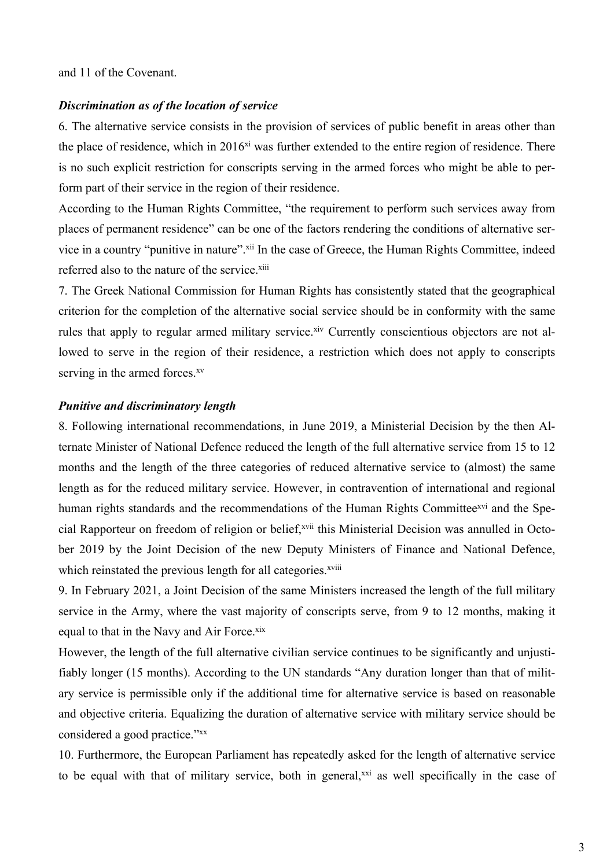and 11 of the Covenant.

### *Discrimination as of the location of service*

6. The alternative service consists in the provision of services of public benefit in areas other than the place of residence, which in 2016<sup>xi</sup> was further extended to the entire region of residence. There is no such explicit restriction for conscripts serving in the armed forces who might be able to perform par<sup>t</sup> of their service in the region of their residence.

According to the Human Rights Committee, "the requirement to perform such services away from places of permanen<sup>t</sup> residence" can be one of the factors rendering the conditions of alternative service in a country "punitive in nature". <sup>xii</sup> In the case of Greece, the Human Rights Committee, indeed referred also to the nature of the service.<sup>xiii</sup>

7. The Greek National Commission for Human Rights has consistently stated that the geographical criterion for the completion of the alternative social service should be in conformity with the same rules that apply to regular armed military service. Xiv Currently conscientious objectors are not allowed to serve in the region of their residence, <sup>a</sup> restriction which does not apply to conscripts serving in the armed forces.<sup>xv</sup>

## *Punitive and discriminatory length*

8. Following international recommendations, in June 2019, <sup>a</sup> Ministerial Decision by the then Alternate Minister of National Defence reduced the length of the full alternative service from 15 to 12 months and the length of the three categories of reduced alternative service to (almost) the same length as for the reduced military service. However, in contravention of international and regional human rights standards and the recommendations of the Human Rights Committee<sup>xvi</sup> and the Special Rapporteur on freedom of religion or belief, <sup>xvii</sup> this Ministerial Decision was annulled in October 2019 by the Joint Decision of the new Deputy Ministers of Finance and National Defence, which reinstated the previous length for all categories.<sup>xviii</sup>

9. In February 2021, <sup>a</sup> Joint Decision of the same Ministers increased the length of the full military service in the Army, where the vast majority of conscripts serve, from 9 to 12 months, making it equal to that in the Navy and Air Force. xix

However, the length of the full alternative civilian service continues to be significantly and unjustifiably longer (15 months). According to the UN standards "Any duration longer than that of military service is permissible only if the additional time for alternative service is based on reasonable and objective criteria. Equalizing the duration of alternative service with military service should be considered a good practice."xx

10. Furthermore, the European Parliament has repeatedly asked for the length of alternative service to be equal with that of military service, both in general,<sup>xxi</sup> as well specifically in the case of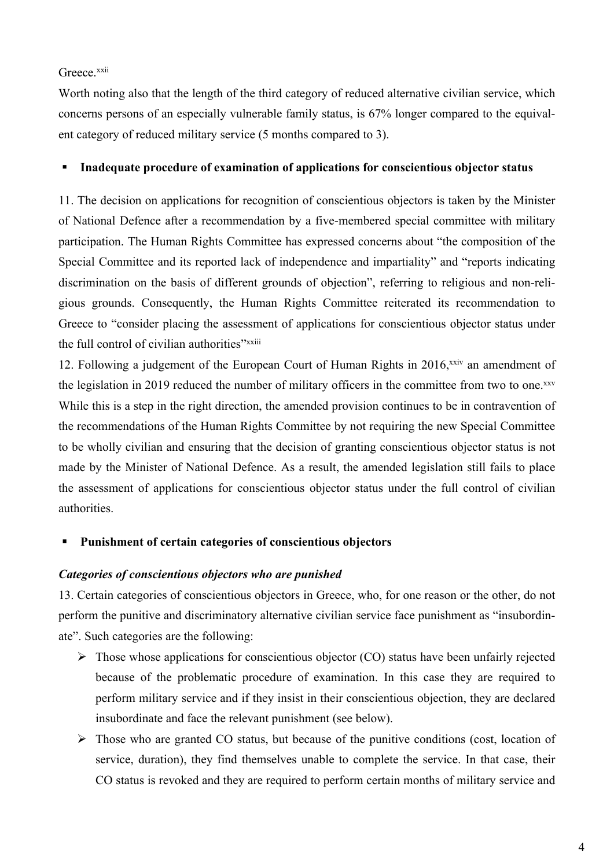Greece.<sup>xxii</sup>

Worth noting also that the length of the third category of reduced alternative civilian service, which concerns persons of an especially vulnerable family status, is 67% longer compared to the equivalent category of reduced military service (5 months compared to 3).

#### Г **Inadequate procedure of examination of applications for conscientious objector status**

11. The decision on applications for recognition of conscientious objectors is taken by the Minister of National Defence after <sup>a</sup> recommendation by <sup>a</sup> five-membered special committee with military participation. The Human Rights Committee has expressed concerns about "the composition of the Special Committee and its reported lack of independence and impartiality" and "reports indicating discrimination on the basis of different grounds of objection", referring to religious and non-religious grounds. Consequently, the Human Rights Committee reiterated its recommendation to Greece to "consider placing the assessment of applications for conscientious objector status under the full control of civilian authorities"xxiii

12. Following a judgement of the European Court of Human Rights in 2016,<sup>xxiv</sup> an amendment of the legislation in 2019 reduced the number of military officers in the committee from two to one.<sup>xxv</sup> While this is <sup>a</sup> step in the right direction, the amended provision continues to be in contravention of the recommendations of the Human Rights Committee by not requiring the new Special Committee to be wholly civilian and ensuring that the decision of granting conscientious objector status is not made by the Minister of National Defence. As <sup>a</sup> result, the amended legislation still fails to place the assessment of applications for conscientious objector status under the full control of civilian authorities.

#### Г **Punishment of certain categories of conscientious objectors**

## *Categories of conscientious objectors who are punished*

13. Certain categories of conscientious objectors in Greece, who, for one reason or the other, do not perform the punitive and discriminatory alternative civilian service face punishment as "insubordinate". Such categories are the following:

- $\triangleright$  Those whose applications for conscientious objector (CO) status have been unfairly rejected because of the problematic procedure of examination. In this case they are required to perform military service and if they insist in their conscientious objection, they are declared insubordinate and face the relevant punishment (see below).
- $\triangleright$  Those who are granted CO status, but because of the punitive conditions (cost, location of service, duration), they find themselves unable to complete the service. In that case, their CO status is revoked and they are required to perform certain months of military service and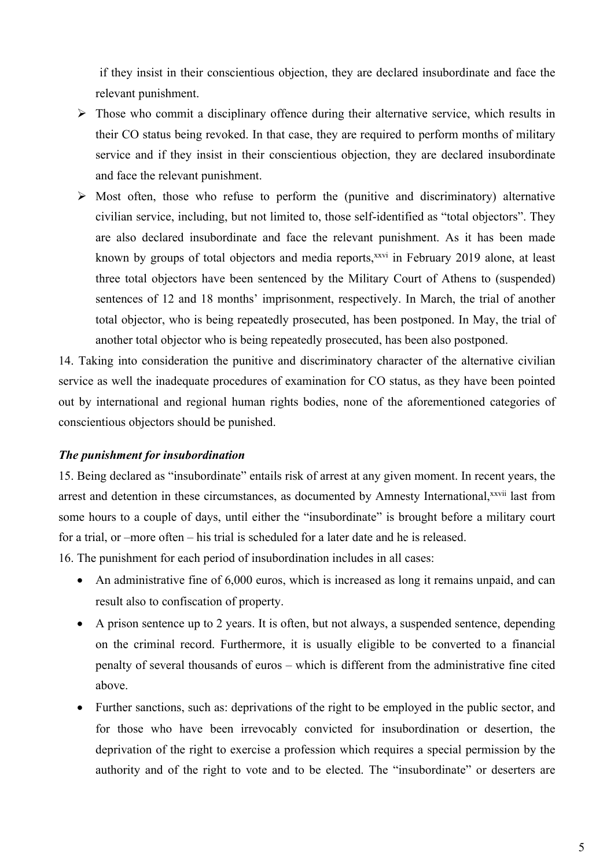if they insist in their conscientious objection, they are declared insubordinate and face the relevant punishment.

- $\triangleright$  Those who commit a disciplinary offence during their alternative service, which results in their CO status being revoked. In that case, they are required to perform months of military service and if they insist in their conscientious objection, they are declared insubordinate and face the relevant punishment.
- $\triangleright$  Most often, those who refuse to perform the (punitive and discriminatory) alternative civilian service, including, but not limited to, those self-identified as "total objectors". They are also declared insubordinate and face the relevant punishment. As it has been made known by groups of total objectors and media reports, xxvi in February 2019 alone, at least three total objectors have been sentenced by the Military Court of Athens to (suspended) sentences of 12 and 18 months' imprisonment, respectively. In March, the trial of another total objector, who is being repeatedly prosecuted, has been postponed. In May, the trial of another total objector who is being repeatedly prosecuted, has been also postponed.

14. Taking into consideration the punitive and discriminatory character of the alternative civilian service as well the inadequate procedures of examination for CO status, as they have been pointed out by international and regional human rights bodies, none of the aforementioned categories of conscientious objectors should be punished.

## *The punishment for insubordination*

15. Being declared as "insubordinate" entails risk of arrest at any given moment. In recent years, the arrest and detention in these circumstances, as documented by Amnesty International, xxvii last from some hours to <sup>a</sup> couple of days, until either the "insubordinate" is brought before <sup>a</sup> military court for <sup>a</sup> trial, or –more often – his trial is scheduled for <sup>a</sup> later date and he is released.

16. The punishment for each period of insubordination includes in all cases:

- An administrative fine of 6,000 euros, which is increased as long it remains unpaid, and can result also to confiscation of property.
- A prison sentence up to 2 years. It is often, but not always, <sup>a</sup> suspended sentence, depending on the criminal record. Furthermore, it is usually eligible to be converted to <sup>a</sup> financial penalty of several thousands of euros – which is different from the administrative fine cited above.
- $\bullet$  Further sanctions, such as: deprivations of the right to be employed in the public sector, and for those who have been irrevocably convicted for insubordination or desertion, the deprivation of the right to exercise <sup>a</sup> profession which requires <sup>a</sup> special permission by the authority and of the right to vote and to be elected. The "insubordinate" or deserters are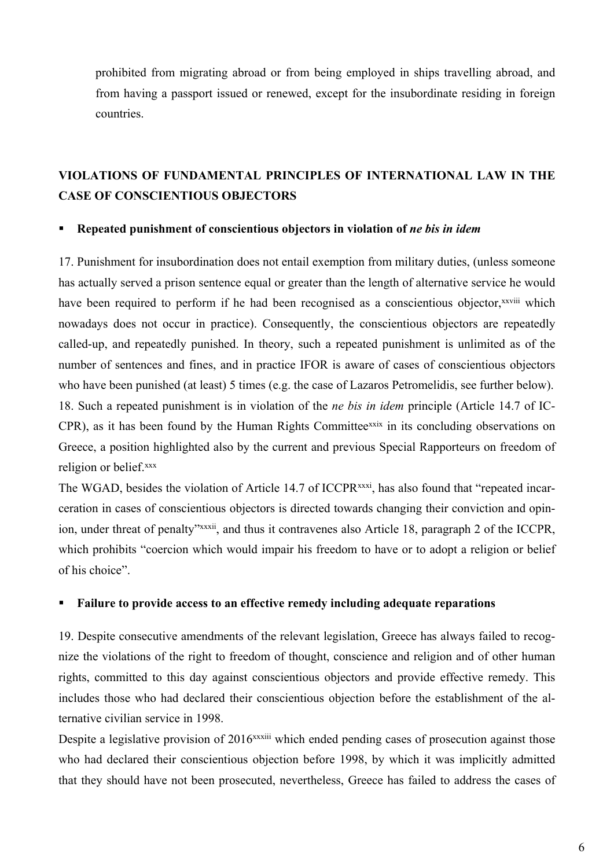prohibited from migrating abroad or from being employed in ships travelling abroad, and from having <sup>a</sup> passpor<sup>t</sup> issued or renewed, excep<sup>t</sup> for the insubordinate residing in foreign countries.

# **VIOLATIONS OF FUNDAMENTAL PRINCIPLES OF INTERNATIONAL LAW IN THE CASE OF CONSCIENTIOUS OBJECTORS**

#### $\blacksquare$ **Repeated punishment of conscientious objectors in violation of** *ne bis in idem*

17. Punishment for insubordination does not entail exemption from military duties, (unless someone has actually served <sup>a</sup> prison sentence equal or greater than the length of alternative service he would have been required to perform if he had been recognised as a conscientious objector, xxviii which nowadays does not occur in practice). Consequently, the conscientious objectors are repeatedly called-up, and repeatedly punished. In theory, such <sup>a</sup> repeated punishment is unlimited as of the number of sentences and fines, and in practice IFOR is aware of cases of conscientious objectors who have been punished (at least) 5 times (e.g. the case of Lazaros Petromelidis, see further below). 18. Such <sup>a</sup> repeated punishment is in violation of the *ne bis in idem* principle (Article 14.7 of IC-CPR), as it has been found by the Human Rights Committee<sup>xxix</sup> in its concluding observations on Greece, <sup>a</sup> position highlighted also by the current and previous Special Rapporteurs on freedom of religion or belief. xxx

The WGAD, besides the violation of Article 14.7 of ICCPR<sup>xxxi</sup>, has also found that "repeated incarceration in cases of conscientious objectors is directed towards changing their conviction and opinion, under threat of penalty" xxxii, and thus it contravenes also Article 18, paragraph 2 of the ICCPR, which prohibits "coercion which would impair his freedom to have or to adopt <sup>a</sup> religion or belief of his choice".

#### $\blacksquare$ **Failure to provide access to an effective remedy including adequate reparations**

19. Despite consecutive amendments of the relevant legislation, Greece has always failed to recognize the violations of the right to freedom of thought, conscience and religion and of other human rights, committed to this day against conscientious objectors and provide effective remedy. This includes those who had declared their conscientious objection before the establishment of the alternative civilian service in 1998.

Despite a legislative provision of 2016<sup>xxxiii</sup> which ended pending cases of prosecution against those who had declared their conscientious objection before 1998, by which it was implicitly admitted that they should have not been prosecuted, nevertheless, Greece has failed to address the cases of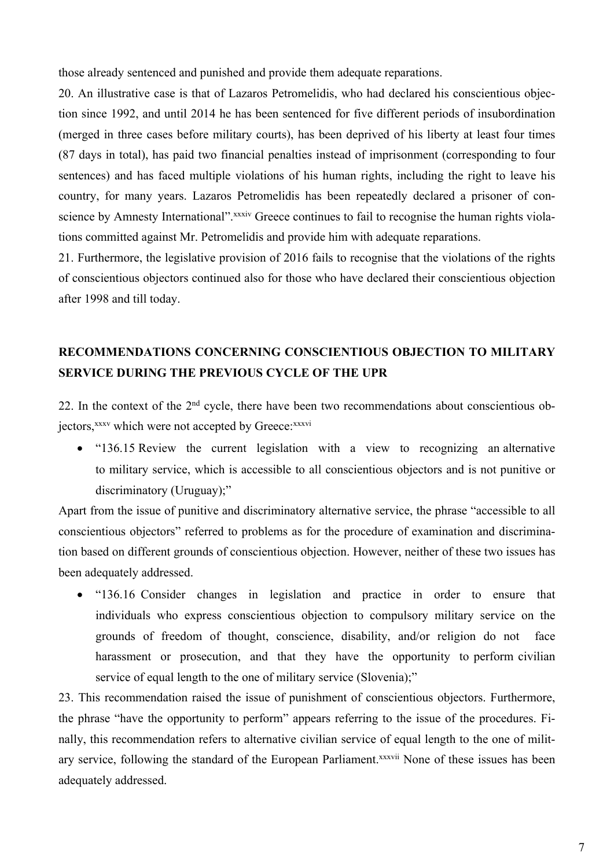those already sentenced and punished and provide them adequate reparations.

20. An illustrative case is that of Lazaros Petromelidis, who had declared his conscientious objection since 1992, and until 2014 he has been sentenced for five different periods of insubordination (merged in three cases before military courts), has been deprived of his liberty at least four times (87 days in total), has paid two financial penalties instead of imprisonment (corresponding to four sentences) and has faced multiple violations of his human rights, including the right to leave his country, for many years. Lazaros Petromelidis has been repeatedly declared <sup>a</sup> prisoner of conscience by Amnesty International". xxxiv Greece continues to fail to recognise the human rights violations committed against Mr. Petromelidis and provide him with adequate reparations.

21. Furthermore, the legislative provision of 2016 fails to recognise that the violations of the rights of conscientious objectors continued also for those who have declared their conscientious objection after 1998 and till today.

# **RECOMMENDATIONS CONCERNING CONSCIENTIOUS OBJECTION TO MILITARY SERVICE DURING THE PREVIOUS CYCLE OF THE UPR**

22. In the context of the  $2<sup>nd</sup>$  cycle, there have been two recommendations about conscientious objectors, xxxv which were not accepted by Greece: xxxvi

• "136.15 Review the current legislation with a view to recognizing an alternative to military service, which is accessible to all conscientious objectors and is not punitive or discriminatory (Uruguay);"

Apart from the issue of punitive and discriminatory alternative service, the phrase "accessible to all conscientious objectors" referred to problems as for the procedure of examination and discrimination based on different grounds of conscientious objection. However, neither of these two issues has been adequately addressed.

• "136.16 Consider changes in legislation and practice in order to ensure that individuals who express conscientious objection to compulsory military service on the grounds of freedom of thought, conscience, disability, and/or religion do not face harassment or prosecution, and that they have the opportunity to perform civilian service of equal length to the one of military service (Slovenia);"

23. This recommendation raised the issue of punishment of conscientious objectors. Furthermore, the phrase "have the opportunity to perform" appears referring to the issue of the procedures. Finally, this recommendation refers to alternative civilian service of equal length to the one of military service, following the standard of the European Parliament.<sup>xxxvii</sup> None of these issues has been adequately addressed.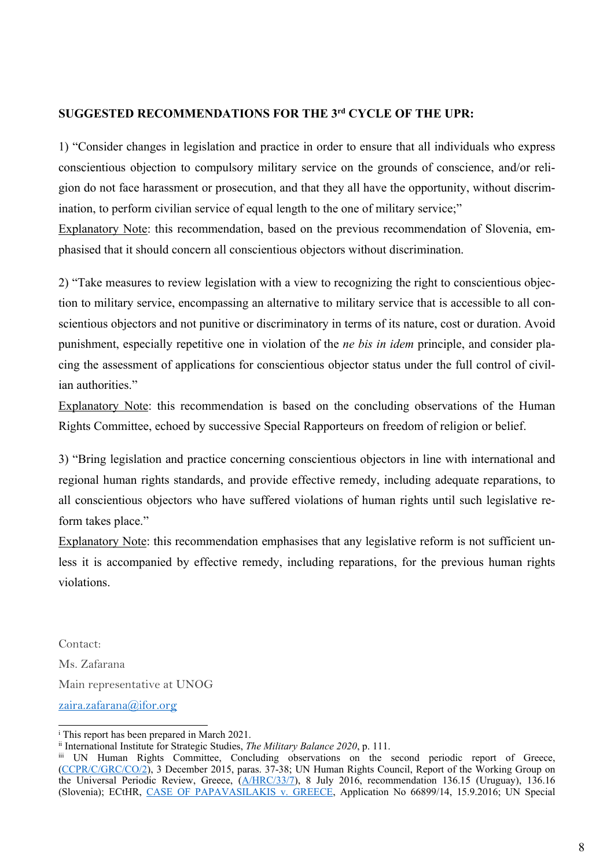# **SUGGESTED RECOMMENDATIONS FOR THE 3rd CYCLE OF THE UPR:**

1) "Consider changes in legislation and practice in order to ensure that all individuals who express conscientious objection to compulsory military service on the grounds of conscience, and/or religion do not face harassment or prosecution, and that they all have the opportunity, without discrimination, to perform civilian service of equal length to the one of military service;"

Explanatory Note: this recommendation, based on the previous recommendation of Slovenia, emphasised that it should concern all conscientious objectors without discrimination.

2) "Take measures to review legislation with <sup>a</sup> view to recognizing the right to conscientious objection to military service, encompassing an alternative to military service that is accessible to all conscientious objectors and not punitive or discriminatory in terms of its nature, cost or duration. Avoid punishment, especially repetitive one in violation of the *ne bis in idem* principle, and consider placing the assessment of applications for conscientious objector status under the full control of civilian authorities."

Explanatory Note: this recommendation is based on the concluding observations of the Human Rights Committee, echoed by successive Special Rapporteurs on freedom of religion or belief.

3) "Bring legislation and practice concerning conscientious objectors in line with international and regional human rights standards, and provide effective remedy, including adequate reparations, to all conscientious objectors who have suffered violations of human rights until such legislative reform takes place."

Explanatory Note: this recommendation emphasises that any legislative reform is not sufficient unless it is accompanied by effective remedy, including reparations, for the previous human rights violations.

Contact: Ms. Zafarana Main representative at UNOG [zaira.zafarana@ifor.org](mailto:zaira.zafarana@ifor.org)

i This repor<sup>t</sup> has been prepared in March 2021.

ii International Institute for Strategic Studies, *The Military Balance 2020*, p. 111.

iii UN Human Rights Committee, Concluding observations on the second periodic repor<sup>t</sup> of Greece, ([CCPR/C/GRC/CO/2](https://tbinternet.ohchr.org/_layouts/treatybodyexternal/Download.aspx?symbolno=CCPR%2fC%2fGRC%2fCO%2f2&Lang=en)), 3 December 2015, paras. 37-38; UN Human Rights Council, Report of the Working Group on the Universal Periodic Review, Greece, [\(A/HRC/33/7\)](https://www.refworld.org/pdfid/57cd5dee4.pdf), 8 July 2016, recommendation 136.15 (Uruguay), 136.16 (Slovenia); ECtHR, CASE OF [PAPAVASILAKIS](https://hudoc.echr.coe.int/eng?i=001-166850) v. GREECE, Application No 66899/14, 15.9.2016; UN Special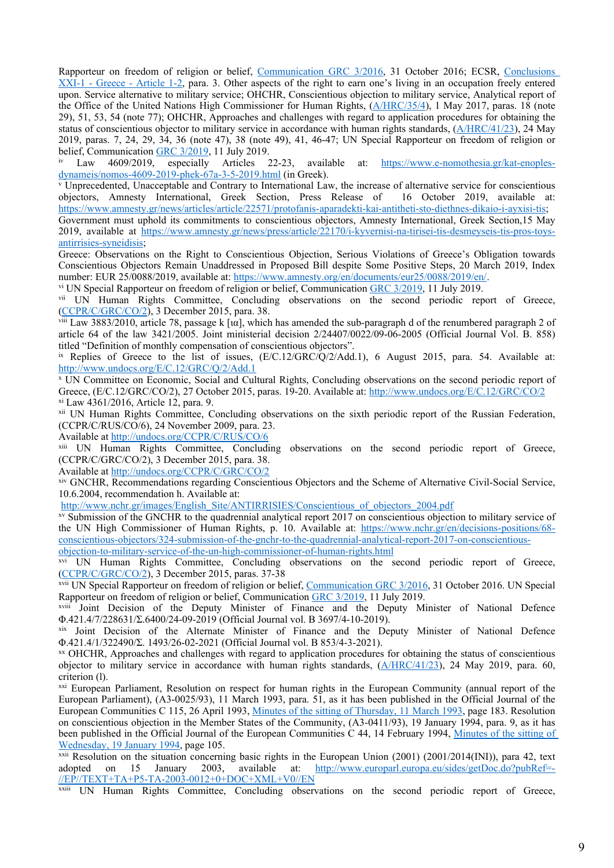Rapporteur on freedom of religion or belief, [Communication](https://spcommreports.ohchr.org/TMResultsBase/DownLoadPublicCommunicationFile?gId=22834) GRC 3/2016, 31 October 2016; ECSR, [Conclusions](https://hudoc.esc.coe.int/eng?i=XXI-1/def/GRC/1/2/EN) XXI-1 - Greece - [Article](https://hudoc.esc.coe.int/eng?i=XXI-1/def/GRC/1/2/EN) 1-2, para. 3. Other aspects of the right to earn one'<sup>s</sup> living in an occupation freely entered upon. Service alternative to military service; OHCHR, Conscientious objection to military service, Analytical repor<sup>t</sup> of the Office of the United Nations High Commissioner for Human Rights, ([A/HRC/35/4\)](https://www.undocs.org/A/HRC/35/4), 1 May 2017, paras. 18 (note 29), 51, 53, 54 (note 77); OHCHR, Approaches and challenges with regard to application procedures for obtaining the status of conscientious objector to military service in accordance with human rights standards, ([A/HRC/41/23](https://undocs.org/A/HRC/41/23)), 24 May 2019, paras. 7, 24, 29, 34, 36 (note 47), 38 (note 49), 41, 46-47; UN Special Rapporteur on freedom of religion or belief, Communication GRC  $3/2019$ , 11 July 2019.<br>iv Law 4609/2019, especially Articles 2

iv especially Articles 22-23, available at: [https://www.e-nomothesia.gr/kat-enoples](https://www.e-nomothesia.gr/kat-enoples-dynameis/nomos-4609-2019-phek-67a-3-5-2019.html)[dynameis/nomos-4609-2019-phek-67a-3-5-2019.html](https://www.e-nomothesia.gr/kat-enoples-dynameis/nomos-4609-2019-phek-67a-3-5-2019.html) (in Greek).

<sup>v</sup> Unprecedented, Unacceptable and Contrary to International Law, the increase of alternative service for conscientious objectors, Amnesty International, Greek Section, Press Release of 16 October 2019, available at: <https://www.amnesty.gr/news/articles/article/22571/protofanis-aparadekti-kai-antitheti-sto-diethnes-dikaio-i-ayxisi-tis>;

Government must uphold its commitments to conscientious objectors, Amnesty International, Greek Section,15 May 2019, available at [https://www.amnesty.gr/news/press/article/22170/i-kyvernisi-na-tirisei-tis-desmeyseis-tis-pros-toys](https://www.amnesty.gr/news/press/article/22170/i-kyvernisi-na-tirisei-tis-desmeyseis-tis-pros-toys-antirrisies-syneidisis)[antirrisies-syneidisis](https://www.amnesty.gr/news/press/article/22170/i-kyvernisi-na-tirisei-tis-desmeyseis-tis-pros-toys-antirrisies-syneidisis);

Greece: Observations on the Right to Conscientious Objection, Serious Violations of Greece'<sup>s</sup> Obligation towards Conscientious Objectors Remain Unaddressed in Proposed Bill despite Some Positive Steps, 20 March 2019, Index number: EUR 25/0088/2019, available at: <https://www.amnesty.org/en/documents/eur25/0088/2019/en/>.

vi UN Special Rapporteur on freedom of religion or belief, Communication GRC [3/2019](https://spcommreports.ohchr.org/TMResultsBase/DownLoadPublicCommunicationFile?gId=24700), <sup>11</sup> July 2019.

vii UN Human Rights Committee, Concluding observations on the second periodic report of Greece, ([CCPR/C/GRC/CO/2](http://undocs.org/CCPR/C/GRC/CO/2)), 3 December 2015, para. 38.

viii Law 3883/2010, article 78, passage k [ια], which has amended the sub-paragraph d of the renumbered paragraph 2 of article 64 of the law 3421/2005. Joint ministerial decision 2/24407/0022/09-06-2005 (Official Journal Vol. Β. 858) titled "Definition of monthly compensation of conscientious objectors".

<sup>ix</sup> Replies of Greece to the list of issues, (E/C.12/GRC/Q/2/Add.1), 6 August 2015, para. 54. Available at: <http://www.undocs.org/E/C.12/GRC/Q/2/Add.1>

<sup>x</sup> UN Committee on Economic, Social and Cultural Rights, Concluding observations on the second periodic repor<sup>t</sup> of Greece, (E/C.12/GRC/CO/2), 27 October 2015, paras. 19-20. Available at: <http://www.undocs.org/E/C.12/GRC/CO/2> xi Law 4361/2016, Article 12, para. 9.

xii UN Human Rights Committee, Concluding observations on the sixth periodic repor<sup>t</sup> of the Russian Federation, (CCPR/C/RUS/CO/6), 24 November 2009, para. 23.

Available at <http://undocs.org/CCPR/C/RUS/CO/6>

xiii UN Human Rights Committee, Concluding observations on the second periodic repor<sup>t</sup> of Greece, (CCPR/C/GRC/CO/2), 3 December 2015, para. 38.

Available at <http://undocs.org/CCPR/C/GRC/CO/2>

xiv GNCHR, Recommendations regarding Conscientious Objectors and the Scheme of Alternative Civil-Social Service, 10.6.2004, recommendation h. Available at:

[http://www.nchr.gr/images/English\\_Site/ANTIRRISIES/Conscientious\\_of\\_objectors\\_2004.pdf](http://www.nchr.gr/images/English_Site/ANTIRRISIES/Conscientious_of_objectors_2004.pdf)

xv Submission of the GNCHR to the quadrennial analytical repor<sup>t</sup> 2017 on conscientious objection to military service of the UN High Commissioner of Human Rights, p. 10. Available at: [https://www.nchr.gr/en/decisions-positions/68](https://www.nchr.gr/en/decisions-positions/68-conscientious-objectors/324-submission-of-the-gnchr-to-the-quadrennial-analytical-report-2017-on-conscientious-objection-to-military-service-of-the-un-high-commissioner-of-human-rights.html) [conscientious-objectors/324-submission-of-the-gnchr-to-the-quadrennial-analytical-report-2017-on-conscientious](https://www.nchr.gr/en/decisions-positions/68-conscientious-objectors/324-submission-of-the-gnchr-to-the-quadrennial-analytical-report-2017-on-conscientious-objection-to-military-service-of-the-un-high-commissioner-of-human-rights.html)[objection-to-military-service-of-the-un-high-commissioner-of-human-rights.html](https://www.nchr.gr/en/decisions-positions/68-conscientious-objectors/324-submission-of-the-gnchr-to-the-quadrennial-analytical-report-2017-on-conscientious-objection-to-military-service-of-the-un-high-commissioner-of-human-rights.html)

xvi UN Human Rights Committee, Concluding observations on the second periodic report of Greece, ([CCPR/C/GRC/CO/2](https://tbinternet.ohchr.org/_layouts/treatybodyexternal/Download.aspx?symbolno=CCPR%2fC%2fGRC%2fCO%2f2&Lang=en)), 3 December 2015, paras. 37-38

xvii UN Special Rapporteur on freedom of religion or belief, [Communication](https://spcommreports.ohchr.org/TMResultsBase/DownLoadPublicCommunicationFile?gId=22834) GRC 3/2016, 31 October 2016. UN Special Rapporteur on freedom of religion or belief, Communication GRC [3/2019](https://spcommreports.ohchr.org/TMResultsBase/DownLoadPublicCommunicationFile?gId=24700), 11 July 2019.

xviii Joint Decision of the Deputy Minister of Finance and the Deputy Minister of National Defence Φ.421.4/7/228631/Σ.6400/24-09-2019 (Official Journal vol. B 3697/4-10-2019).

xix Joint Decision of the Alternate Minister of Finance and the Deputy Minister of National Defence Φ.421.4/1/322490/Σ. 1493/26-02-2021 (Official Journal vol. B 853/4-3-2021).

xx OHCHR, Approaches and challenges with regard to application procedures for obtaining the status of conscientious objector to military service in accordance with human rights standards, ([A/HRC/41/23\)](https://undocs.org/A/HRC/41/23), 24 May 2019, para. 60, criterion (l).

<sup>xxi</sup> European Parliament, Resolution on respect for human rights in the European Community (annual report of the European Parliament), (Α3-0025/93), 11 March 1993, para. 51, as it has been published in the Official Journal of the European Communities C 115, 26 April 1993, Minutes of the sitting of [Thursday,](http://eur-lex.europa.eu/legal-content/EN/TXT/PDF/?uri=OJ:JOC_1993_115_R_0139_01&from=EN) 11 March 1993, page 183. Resolution on conscientious objection in the Member States of the Community, (Α3-0411/93), 19 January 1994, para. 9, as it has been published in the Official Journal of the European Communities C 44, 14 February 1994, [Minutes](http://eur-lex.europa.eu/legal-content/EN/TXT/PDF/?uri=OJ:JOC_1994_044_R_0075_01&from=EN) of the sitting of [Wednesday,](http://eur-lex.europa.eu/legal-content/EN/TXT/PDF/?uri=OJ:JOC_1994_044_R_0075_01&from=EN) 19 January 1994, page 105.

<sup>xxii</sup> Resolution on the situation concerning basic rights in the European Union (2001) (2001/2014(INI)), para 42, text adopted on 15 January 2003, available at:  $\frac{http://www.europarl.europa.eu/sides/getDoc.do?pubRef=-}$ adopted on 15 January 2003, available at: [http://www.europarl.europa.eu/sides/getDoc.do?pubRef=-](http://www.europarl.europa.eu/sides/getDoc.do?pubRef=-//EP//TEXT+TA+P5-TA-2003-0012+0+DOC+XML+V0//EN) [//EP//TEXT+TA+P5-TA-2003-0012+0+DOC+XML+V0//EN](http://www.europarl.europa.eu/sides/getDoc.do?pubRef=-//EP//TEXT+TA+P5-TA-2003-0012+0+DOC+XML+V0//EN)

xxiii UN Human Rights Committee, Concluding observations on the second periodic repor<sup>t</sup> of Greece,